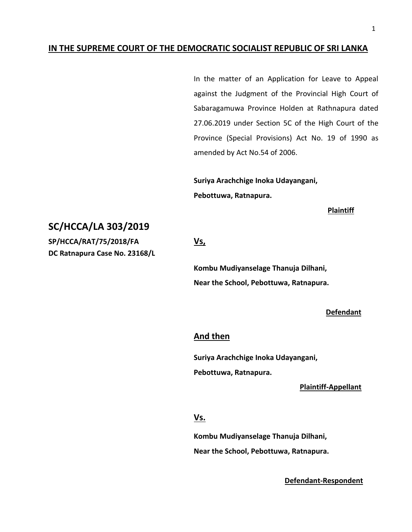## **IN THE SUPREME COURT OF THE DEMOCRATIC SOCIALIST REPUBLIC OF SRI LANKA**

In the matter of an Application for Leave to Appeal against the Judgment of the Provincial High Court of Sabaragamuwa Province Holden at Rathnapura dated 27.06.2019 under Section 5C of the High Court of the Province (Special Provisions) Act No. 19 of 1990 as amended by Act No.54 of 2006.

**Suriya Arachchige Inoka Udayangani, Pebottuwa, Ratnapura.**

**Plaintiff**

# **SC/HCCA/LA 303/2019**

**SP/HCCA/RAT/75/2018/FA Vs, DC Ratnapura Case No. 23168/L**

**Kombu Mudiyanselage Thanuja Dilhani, Near the School, Pebottuwa, Ratnapura.**

#### **Defendant**

## **And then**

**Suriya Arachchige Inoka Udayangani, Pebottuwa, Ratnapura.**

## **Plaintiff-Appellant**

## **Vs.**

**Kombu Mudiyanselage Thanuja Dilhani, Near the School, Pebottuwa, Ratnapura.**

 **Defendant-Respondent**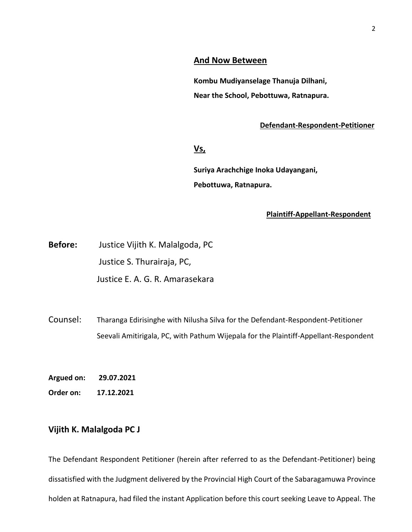## **And Now Between**

**Kombu Mudiyanselage Thanuja Dilhani, Near the School, Pebottuwa, Ratnapura.**

## **Defendant-Respondent-Petitioner**

## **Vs,**

**Suriya Arachchige Inoka Udayangani, Pebottuwa, Ratnapura.**

#### **Plaintiff-Appellant-Respondent**

**Before:** Justice Vijith K. Malalgoda, PC Justice S. Thurairaja, PC, Justice E. A. G. R. Amarasekara

Counsel: Tharanga Edirisinghe with Nilusha Silva for the Defendant-Respondent-Petitioner Seevali Amitirigala, PC, with Pathum Wijepala for the Plaintiff-Appellant-Respondent

**Argued on: 29.07.2021**

**Order on: 17.12.2021**

# **Vijith K. Malalgoda PC J**

The Defendant Respondent Petitioner (herein after referred to as the Defendant-Petitioner) being dissatisfied with the Judgment delivered by the Provincial High Court of the Sabaragamuwa Province holden at Ratnapura, had filed the instant Application before this court seeking Leave to Appeal. The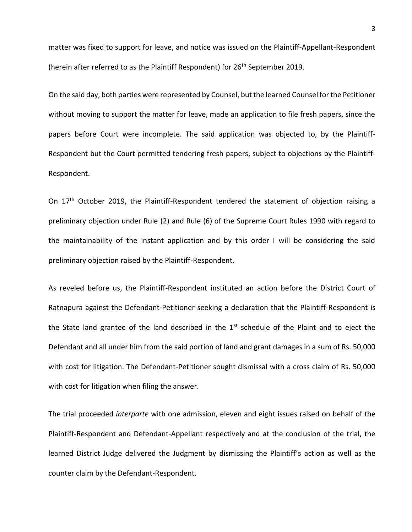matter was fixed to support for leave, and notice was issued on the Plaintiff-Appellant-Respondent (herein after referred to as the Plaintiff Respondent) for 26<sup>th</sup> September 2019.

On the said day, both parties were represented by Counsel, but the learned Counsel for the Petitioner without moving to support the matter for leave, made an application to file fresh papers, since the papers before Court were incomplete. The said application was objected to, by the Plaintiff-Respondent but the Court permitted tendering fresh papers, subject to objections by the Plaintiff-Respondent.

On 17<sup>th</sup> October 2019, the Plaintiff-Respondent tendered the statement of objection raising a preliminary objection under Rule (2) and Rule (6) of the Supreme Court Rules 1990 with regard to the maintainability of the instant application and by this order I will be considering the said preliminary objection raised by the Plaintiff-Respondent.

As reveled before us, the Plaintiff-Respondent instituted an action before the District Court of Ratnapura against the Defendant-Petitioner seeking a declaration that the Plaintiff-Respondent is the State land grantee of the land described in the  $1<sup>st</sup>$  schedule of the Plaint and to eject the Defendant and all under him from the said portion of land and grant damages in a sum of Rs. 50,000 with cost for litigation. The Defendant-Petitioner sought dismissal with a cross claim of Rs. 50,000 with cost for litigation when filing the answer.

The trial proceeded *interparte* with one admission, eleven and eight issues raised on behalf of the Plaintiff-Respondent and Defendant-Appellant respectively and at the conclusion of the trial, the learned District Judge delivered the Judgment by dismissing the Plaintiff's action as well as the counter claim by the Defendant-Respondent.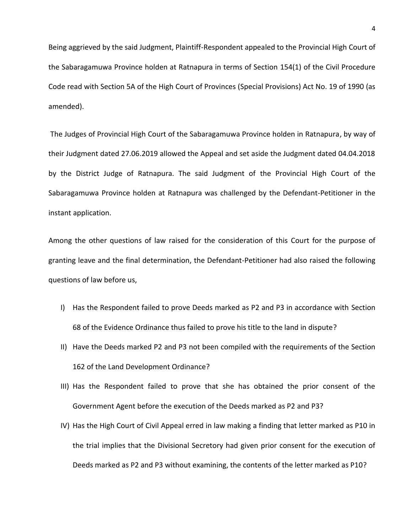Being aggrieved by the said Judgment, Plaintiff-Respondent appealed to the Provincial High Court of the Sabaragamuwa Province holden at Ratnapura in terms of Section 154(1) of the Civil Procedure Code read with Section 5A of the High Court of Provinces (Special Provisions) Act No. 19 of 1990 (as amended).

The Judges of Provincial High Court of the Sabaragamuwa Province holden in Ratnapura, by way of their Judgment dated 27.06.2019 allowed the Appeal and set aside the Judgment dated 04.04.2018 by the District Judge of Ratnapura. The said Judgment of the Provincial High Court of the Sabaragamuwa Province holden at Ratnapura was challenged by the Defendant-Petitioner in the instant application.

Among the other questions of law raised for the consideration of this Court for the purpose of granting leave and the final determination, the Defendant-Petitioner had also raised the following questions of law before us,

- I) Has the Respondent failed to prove Deeds marked as P2 and P3 in accordance with Section 68 of the Evidence Ordinance thus failed to prove his title to the land in dispute?
- II) Have the Deeds marked P2 and P3 not been compiled with the requirements of the Section 162 of the Land Development Ordinance?
- III) Has the Respondent failed to prove that she has obtained the prior consent of the Government Agent before the execution of the Deeds marked as P2 and P3?
- IV) Has the High Court of Civil Appeal erred in law making a finding that letter marked as P10 in the trial implies that the Divisional Secretory had given prior consent for the execution of Deeds marked as P2 and P3 without examining, the contents of the letter marked as P10?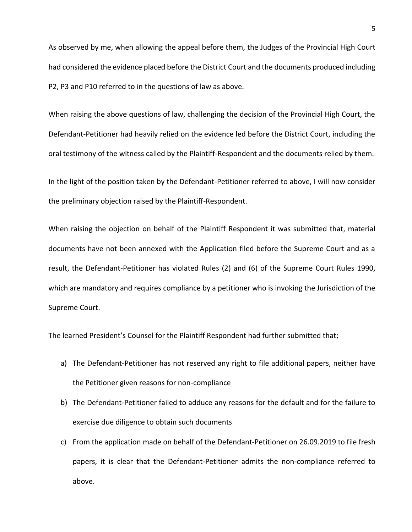As observed by me, when allowing the appeal before them, the Judges of the Provincial High Court had considered the evidence placed before the District Court and the documents produced including P2, P3 and P10 referred to in the questions of law as above.

When raising the above questions of law, challenging the decision of the Provincial High Court, the Defendant-Petitioner had heavily relied on the evidence led before the District Court, including the oral testimony of the witness called by the Plaintiff-Respondent and the documents relied by them.

In the light of the position taken by the Defendant-Petitioner referred to above, I will now consider the preliminary objection raised by the Plaintiff-Respondent.

When raising the objection on behalf of the Plaintiff Respondent it was submitted that, material documents have not been annexed with the Application filed before the Supreme Court and as a result, the Defendant-Petitioner has violated Rules (2) and (6) of the Supreme Court Rules 1990, which are mandatory and requires compliance by a petitioner who is invoking the Jurisdiction of the Supreme Court.

The learned President's Counsel for the Plaintiff Respondent had further submitted that;

- a) The Defendant-Petitioner has not reserved any right to file additional papers, neither have the Petitioner given reasons for non-compliance
- b) The Defendant-Petitioner failed to adduce any reasons for the default and for the failure to exercise due diligence to obtain such documents
- c) From the application made on behalf of the Defendant-Petitioner on 26.09.2019 to file fresh papers, it is clear that the Defendant-Petitioner admits the non-compliance referred to above.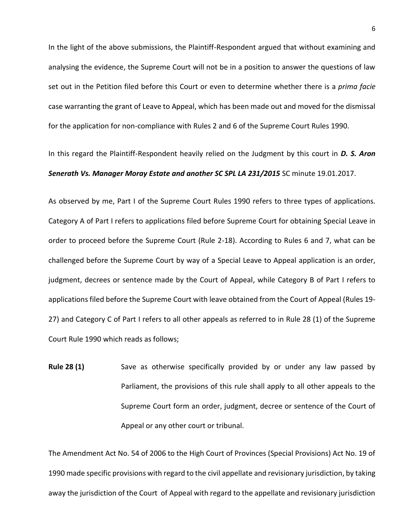In the light of the above submissions, the Plaintiff-Respondent argued that without examining and analysing the evidence, the Supreme Court will not be in a position to answer the questions of law set out in the Petition filed before this Court or even to determine whether there is a *prima facie*  case warranting the grant of Leave to Appeal, which has been made out and moved for the dismissal for the application for non-compliance with Rules 2 and 6 of the Supreme Court Rules 1990.

In this regard the Plaintiff-Respondent heavily relied on the Judgment by this court in *D. S. Aron Senerath Vs. Manager Moray Estate and another SC SPL LA 231/2015* SC minute 19.01.2017.

As observed by me, Part I of the Supreme Court Rules 1990 refers to three types of applications. Category A of Part I refers to applications filed before Supreme Court for obtaining Special Leave in order to proceed before the Supreme Court (Rule 2-18). According to Rules 6 and 7, what can be challenged before the Supreme Court by way of a Special Leave to Appeal application is an order, judgment, decrees or sentence made by the Court of Appeal, while Category B of Part I refers to applications filed before the Supreme Court with leave obtained from the Court of Appeal (Rules 19- 27) and Category C of Part I refers to all other appeals as referred to in Rule 28 (1) of the Supreme Court Rule 1990 which reads as follows;

**Rule 28 (1)** Save as otherwise specifically provided by or under any law passed by Parliament, the provisions of this rule shall apply to all other appeals to the Supreme Court form an order, judgment, decree or sentence of the Court of Appeal or any other court or tribunal.

The Amendment Act No. 54 of 2006 to the High Court of Provinces (Special Provisions) Act No. 19 of 1990 made specific provisions with regard to the civil appellate and revisionary jurisdiction, by taking away the jurisdiction of the Court of Appeal with regard to the appellate and revisionary jurisdiction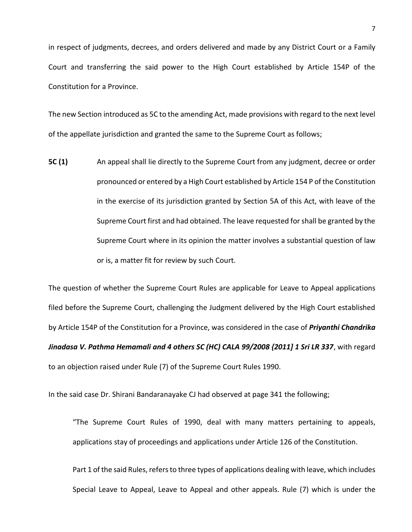in respect of judgments, decrees, and orders delivered and made by any District Court or a Family Court and transferring the said power to the High Court established by Article 154P of the Constitution for a Province.

The new Section introduced as 5C to the amending Act, made provisions with regard to the next level of the appellate jurisdiction and granted the same to the Supreme Court as follows;

**5C (1)** An appeal shall lie directly to the Supreme Court from any judgment, decree or order pronounced or entered by a High Court established by Article 154 P of the Constitution in the exercise of its jurisdiction granted by Section 5A of this Act, with leave of the Supreme Court first and had obtained. The leave requested for shall be granted by the Supreme Court where in its opinion the matter involves a substantial question of law or is, a matter fit for review by such Court.

The question of whether the Supreme Court Rules are applicable for Leave to Appeal applications filed before the Supreme Court, challenging the Judgment delivered by the High Court established by Article 154P of the Constitution for a Province, was considered in the case of *Priyanthi Chandrika Jinadasa V. Pathma Hemamali and 4 others SC (HC) CALA 99/2008 {2011] 1 Sri LR 337*, with regard to an objection raised under Rule (7) of the Supreme Court Rules 1990.

In the said case Dr. Shirani Bandaranayake CJ had observed at page 341 the following;

"The Supreme Court Rules of 1990, deal with many matters pertaining to appeals, applications stay of proceedings and applications under Article 126 of the Constitution.

Part 1 of the said Rules, refers to three types of applications dealing with leave, which includes Special Leave to Appeal, Leave to Appeal and other appeals. Rule (7) which is under the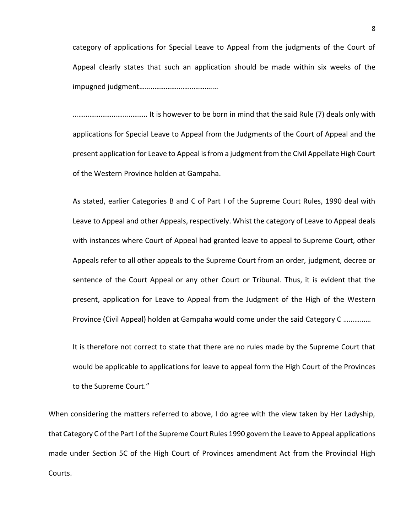category of applications for Special Leave to Appeal from the judgments of the Court of Appeal clearly states that such an application should be made within six weeks of the impugned judgment…..……………………………....

………………………..……….. It is however to be born in mind that the said Rule (7) deals only with applications for Special Leave to Appeal from the Judgments of the Court of Appeal and the present application for Leave to Appeal is from a judgment from the Civil Appellate High Court of the Western Province holden at Gampaha.

As stated, earlier Categories B and C of Part I of the Supreme Court Rules, 1990 deal with Leave to Appeal and other Appeals, respectively. Whist the category of Leave to Appeal deals with instances where Court of Appeal had granted leave to appeal to Supreme Court, other Appeals refer to all other appeals to the Supreme Court from an order, judgment, decree or sentence of the Court Appeal or any other Court or Tribunal. Thus, it is evident that the present, application for Leave to Appeal from the Judgment of the High of the Western Province (Civil Appeal) holden at Gampaha would come under the said Category C ……………

It is therefore not correct to state that there are no rules made by the Supreme Court that would be applicable to applications for leave to appeal form the High Court of the Provinces to the Supreme Court."

When considering the matters referred to above, I do agree with the view taken by Her Ladyship, that Category C of the Part I of the Supreme Court Rules 1990 govern the Leave to Appeal applications made under Section 5C of the High Court of Provinces amendment Act from the Provincial High Courts.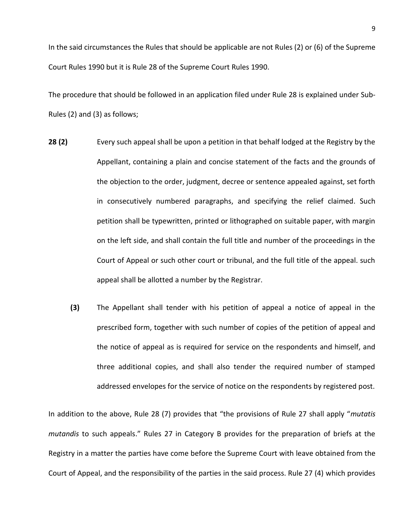In the said circumstances the Rules that should be applicable are not Rules (2) or (6) of the Supreme Court Rules 1990 but it is Rule 28 of the Supreme Court Rules 1990.

The procedure that should be followed in an application filed under Rule 28 is explained under Sub-Rules (2) and (3) as follows;

- **28 (2)** Every such appeal shall be upon a petition in that behalf lodged at the Registry by the Appellant, containing a plain and concise statement of the facts and the grounds of the objection to the order, judgment, decree or sentence appealed against, set forth in consecutively numbered paragraphs, and specifying the relief claimed. Such petition shall be typewritten, printed or lithographed on suitable paper, with margin on the left side, and shall contain the full title and number of the proceedings in the Court of Appeal or such other court or tribunal, and the full title of the appeal. such appeal shall be allotted a number by the Registrar.
	- **(3)** The Appellant shall tender with his petition of appeal a notice of appeal in the prescribed form, together with such number of copies of the petition of appeal and the notice of appeal as is required for service on the respondents and himself, and three additional copies, and shall also tender the required number of stamped addressed envelopes for the service of notice on the respondents by registered post.

In addition to the above, Rule 28 (7) provides that "the provisions of Rule 27 shall apply "*mutatis mutandis* to such appeals." Rules 27 in Category B provides for the preparation of briefs at the Registry in a matter the parties have come before the Supreme Court with leave obtained from the Court of Appeal, and the responsibility of the parties in the said process. Rule 27 (4) which provides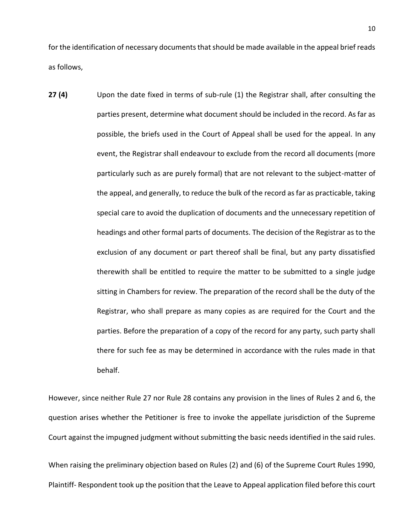for the identification of necessary documents that should be made available in the appeal brief reads as follows,

**27 (4)** Upon the date fixed in terms of sub-rule (1) the Registrar shall, after consulting the parties present, determine what document should be included in the record. As far as possible, the briefs used in the Court of Appeal shall be used for the appeal. In any event, the Registrar shall endeavour to exclude from the record all documents (more particularly such as are purely formal) that are not relevant to the subject-matter of the appeal, and generally, to reduce the bulk of the record as far as practicable, taking special care to avoid the duplication of documents and the unnecessary repetition of headings and other formal parts of documents. The decision of the Registrar as to the exclusion of any document or part thereof shall be final, but any party dissatisfied therewith shall be entitled to require the matter to be submitted to a single judge sitting in Chambers for review. The preparation of the record shall be the duty of the Registrar, who shall prepare as many copies as are required for the Court and the parties. Before the preparation of a copy of the record for any party, such party shall there for such fee as may be determined in accordance with the rules made in that behalf.

However, since neither Rule 27 nor Rule 28 contains any provision in the lines of Rules 2 and 6, the question arises whether the Petitioner is free to invoke the appellate jurisdiction of the Supreme Court against the impugned judgment without submitting the basic needs identified in the said rules.

When raising the preliminary objection based on Rules (2) and (6) of the Supreme Court Rules 1990, Plaintiff- Respondent took up the position that the Leave to Appeal application filed before this court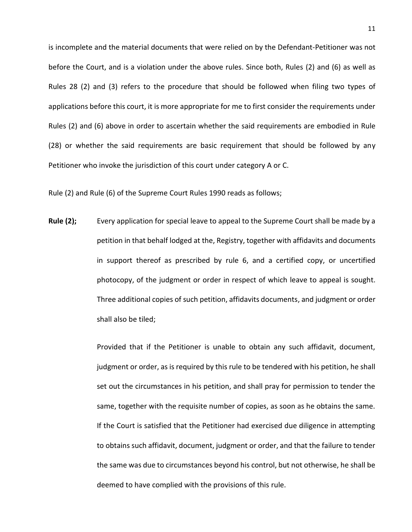is incomplete and the material documents that were relied on by the Defendant-Petitioner was not before the Court, and is a violation under the above rules. Since both, Rules (2) and (6) as well as Rules 28 (2) and (3) refers to the procedure that should be followed when filing two types of applications before this court, it is more appropriate for me to first consider the requirements under Rules (2) and (6) above in order to ascertain whether the said requirements are embodied in Rule (28) or whether the said requirements are basic requirement that should be followed by any Petitioner who invoke the jurisdiction of this court under category A or C.

Rule (2) and Rule (6) of the Supreme Court Rules 1990 reads as follows;

**Rule (2);** Every application for special leave to appeal to the Supreme Court shall be made by a petition in that behalf lodged at the, Registry, together with affidavits and documents in support thereof as prescribed by rule 6, and a certified copy, or uncertified photocopy, of the judgment or order in respect of which leave to appeal is sought. Three additional copies of such petition, affidavits documents, and judgment or order shall also be tiled;

> Provided that if the Petitioner is unable to obtain any such affidavit, document, judgment or order, as is required by this rule to be tendered with his petition, he shall set out the circumstances in his petition, and shall pray for permission to tender the same, together with the requisite number of copies, as soon as he obtains the same. If the Court is satisfied that the Petitioner had exercised due diligence in attempting to obtains such affidavit, document, judgment or order, and that the failure to tender the same was due to circumstances beyond his control, but not otherwise, he shall be deemed to have complied with the provisions of this rule.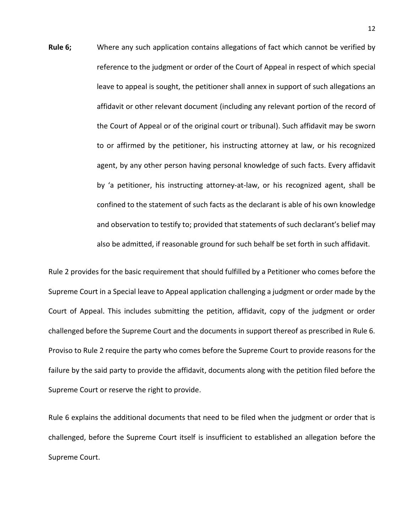**Rule 6;** Where any such application contains allegations of fact which cannot be verified by reference to the judgment or order of the Court of Appeal in respect of which special leave to appeal is sought, the petitioner shall annex in support of such allegations an affidavit or other relevant document (including any relevant portion of the record of the Court of Appeal or of the original court or tribunal). Such affidavit may be sworn to or affirmed by the petitioner, his instructing attorney at law, or his recognized agent, by any other person having personal knowledge of such facts. Every affidavit by 'a petitioner, his instructing attorney-at-law, or his recognized agent, shall be confined to the statement of such facts as the declarant is able of his own knowledge and observation to testify to; provided that statements of such declarant's belief may also be admitted, if reasonable ground for such behalf be set forth in such affidavit.

Rule 2 provides for the basic requirement that should fulfilled by a Petitioner who comes before the Supreme Court in a Special leave to Appeal application challenging a judgment or order made by the Court of Appeal. This includes submitting the petition, affidavit, copy of the judgment or order challenged before the Supreme Court and the documents in support thereof as prescribed in Rule 6. Proviso to Rule 2 require the party who comes before the Supreme Court to provide reasons for the failure by the said party to provide the affidavit, documents along with the petition filed before the Supreme Court or reserve the right to provide.

Rule 6 explains the additional documents that need to be filed when the judgment or order that is challenged, before the Supreme Court itself is insufficient to established an allegation before the Supreme Court.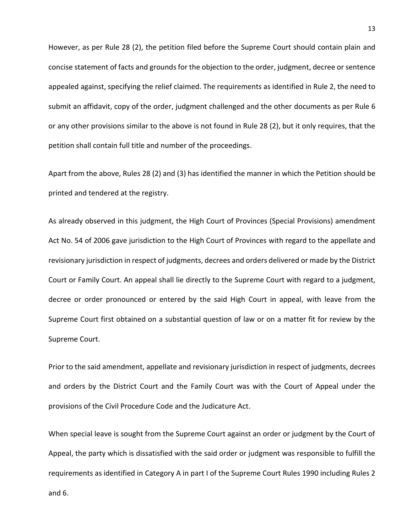However, as per Rule 28 (2), the petition filed before the Supreme Court should contain plain and concise statement of facts and grounds for the objection to the order, judgment, decree or sentence appealed against, specifying the relief claimed. The requirements as identified in Rule 2, the need to submit an affidavit, copy of the order, judgment challenged and the other documents as per Rule 6 or any other provisions similar to the above is not found in Rule 28 (2), but it only requires, that the petition shall contain full title and number of the proceedings.

Apart from the above, Rules 28 (2) and (3) has identified the manner in which the Petition should be printed and tendered at the registry.

As already observed in this judgment, the High Court of Provinces (Special Provisions) amendment Act No. 54 of 2006 gave jurisdiction to the High Court of Provinces with regard to the appellate and revisionary jurisdiction in respect of judgments, decrees and orders delivered or made by the District Court or Family Court. An appeal shall lie directly to the Supreme Court with regard to a judgment, decree or order pronounced or entered by the said High Court in appeal, with leave from the Supreme Court first obtained on a substantial question of law or on a matter fit for review by the Supreme Court.

Prior to the said amendment, appellate and revisionary jurisdiction in respect of judgments, decrees and orders by the District Court and the Family Court was with the Court of Appeal under the provisions of the Civil Procedure Code and the Judicature Act.

When special leave is sought from the Supreme Court against an order or judgment by the Court of Appeal, the party which is dissatisfied with the said order or judgment was responsible to fulfill the requirements as identified in Category A in part I of the Supreme Court Rules 1990 including Rules 2 and 6.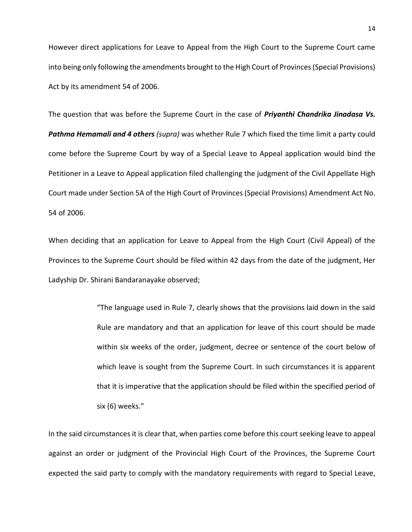However direct applications for Leave to Appeal from the High Court to the Supreme Court came into being only following the amendments brought to the High Court of Provinces (Special Provisions) Act by its amendment 54 of 2006.

The question that was before the Supreme Court in the case of *Priyanthi Chandrika Jinadasa Vs. Pathma Hemamali and 4 others (supra)* was whether Rule 7 which fixed the time limit a party could come before the Supreme Court by way of a Special Leave to Appeal application would bind the Petitioner in a Leave to Appeal application filed challenging the judgment of the Civil Appellate High Court made under Section 5A of the High Court of Provinces (Special Provisions) Amendment Act No. 54 of 2006.

When deciding that an application for Leave to Appeal from the High Court (Civil Appeal) of the Provinces to the Supreme Court should be filed within 42 days from the date of the judgment, Her Ladyship Dr. Shirani Bandaranayake observed;

> "The language used in Rule 7, clearly shows that the provisions laid down in the said Rule are mandatory and that an application for leave of this court should be made within six weeks of the order, judgment, decree or sentence of the court below of which leave is sought from the Supreme Court. In such circumstances it is apparent that it is imperative that the application should be filed within the specified period of six (6) weeks."

In the said circumstances it is clear that, when parties come before this court seeking leave to appeal against an order or judgment of the Provincial High Court of the Provinces, the Supreme Court expected the said party to comply with the mandatory requirements with regard to Special Leave,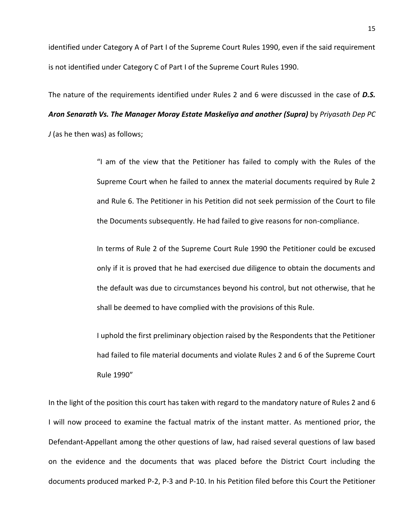identified under Category A of Part I of the Supreme Court Rules 1990, even if the said requirement is not identified under Category C of Part I of the Supreme Court Rules 1990.

The nature of the requirements identified under Rules 2 and 6 were discussed in the case of *D.S. Aron Senarath Vs. The Manager Moray Estate Maskeliya and another (Supra)* by *Priyasath Dep PC J* (as he then was) as follows;

> "I am of the view that the Petitioner has failed to comply with the Rules of the Supreme Court when he failed to annex the material documents required by Rule 2 and Rule 6. The Petitioner in his Petition did not seek permission of the Court to file the Documents subsequently. He had failed to give reasons for non-compliance.

> In terms of Rule 2 of the Supreme Court Rule 1990 the Petitioner could be excused only if it is proved that he had exercised due diligence to obtain the documents and the default was due to circumstances beyond his control, but not otherwise, that he shall be deemed to have complied with the provisions of this Rule.

> I uphold the first preliminary objection raised by the Respondents that the Petitioner had failed to file material documents and violate Rules 2 and 6 of the Supreme Court Rule 1990"

In the light of the position this court has taken with regard to the mandatory nature of Rules 2 and 6 I will now proceed to examine the factual matrix of the instant matter. As mentioned prior, the Defendant-Appellant among the other questions of law, had raised several questions of law based on the evidence and the documents that was placed before the District Court including the documents produced marked P-2, P-3 and P-10. In his Petition filed before this Court the Petitioner